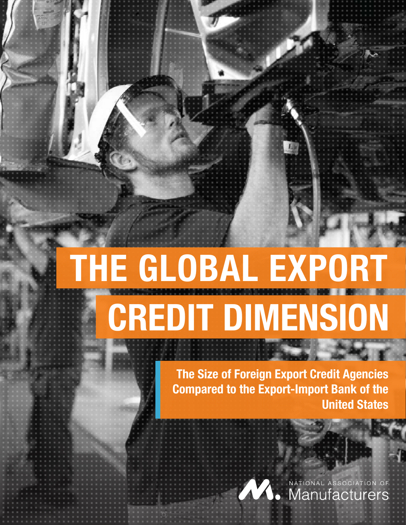# **THE GLOBAL EXPORT CREDIT DIMENSION**

**The Size of Foreign Export Credit Agencies Compared to the Export-Import Bank of the United States** 

**AV.** Manufacturers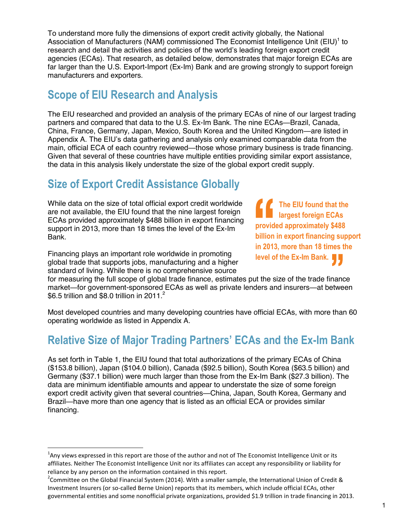To understand more fully the dimensions of export credit activity globally, the National Association of Manufacturers (NAM) commissioned The Economist Intelligence Unit  $(EIU)^{1}$  to research and detail the activities and policies of the world's leading foreign export credit agencies (ECAs). That research, as detailed below, demonstrates that major foreign ECAs are far larger than the U.S. Export-Import (Ex-Im) Bank and are growing strongly to support foreign manufacturers and exporters.

## **Scope of EIU Research and Analysis**

The EIU researched and provided an analysis of the primary ECAs of nine of our largest trading partners and compared that data to the U.S. Ex-Im Bank. The nine ECAs—Brazil, Canada, China, France, Germany, Japan, Mexico, South Korea and the United Kingdom—are listed in Appendix A. The EIU's data gathering and analysis only examined comparable data from the main, official ECA of each country reviewed—those whose primary business is trade financing. Given that several of these countries have multiple entities providing similar export assistance, the data in this analysis likely understate the size of the global export credit supply.

## **Size of Export Credit Assistance Globally**

While data on the size of total official export credit worldwide are not available, the EIU found that the nine largest foreign ECAs provided approximately \$488 billion in export financing support in 2013, more than 18 times the level of the Ex-Im Bank.

Financing plays an important role worldwide in promoting global trade that supports jobs, manufacturing and a higher standard of living. While there is no comprehensive source

 $\overline{\phantom{0}}$ 

*f* The EIU found that the **ning largest foreign ECAs provided approximately \$488 billion in export financing support in 2013, more than 18 times the level of the Ex-Im Bank.**

for measuring the full scope of global trade finance, estimates put the size of the trade finance market—for government-sponsored ECAs as well as private lenders and insurers—at between \$6.5 trillion and \$8.0 trillion in 2011. $^2$ 

Most developed countries and many developing countries have official ECAs, with more than 60 operating worldwide as listed in Appendix A.

## **Relative Size of Major Trading Partners' ECAs and the Ex-Im Bank**

As set forth in Table 1, the EIU found that total authorizations of the primary ECAs of China (\$153.8 billion), Japan (\$104.0 billion), Canada (\$92.5 billion), South Korea (\$63.5 billion) and Germany (\$37.1 billion) were much larger than those from the Ex-Im Bank (\$27.3 billion). The data are minimum identifiable amounts and appear to understate the size of some foreign export credit activity given that several countries—China, Japan, South Korea, Germany and Brazil—have more than one agency that is listed as an official ECA or provides similar financing.

 $^1$ Any views expressed in this report are those of the author and not of The Economist Intelligence Unit or its affiliates. Neither The Economist Intelligence Unit nor its affiliates can accept any responsibility or liability for reliance by any person on the information contained in this report.

<sup>&</sup>lt;sup>2</sup>Committee on the Global Financial System (2014). With a smaller sample, the International Union of Credit & Investment Insurers (or so-called Berne Union) reports that its members, which include official ECAs, other governmental entities and some nonofficial private organizations, provided \$1.9 trillion in trade financing in 2013.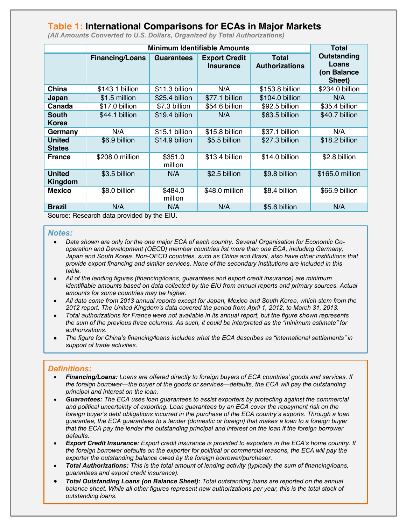### **Table 1: International Comparisons for ECAs in Major Markets**

|                                | <b>Minimum Identifiable Amounts</b> |                    |                                          |                                       | <b>Total</b>                                  |
|--------------------------------|-------------------------------------|--------------------|------------------------------------------|---------------------------------------|-----------------------------------------------|
|                                | <b>Financing/Loans</b>              | <b>Guarantees</b>  | <b>Export Credit</b><br><b>Insurance</b> | <b>Total</b><br><b>Authorizations</b> | Outstanding<br>Loans<br>(on Balance<br>Sheet) |
| China                          | \$143.1 billion                     | \$11.3 billion     | N/A                                      | \$153.8 billion                       | \$234.0 billion                               |
| Japan                          | \$1.5 million                       | \$25.4 billion     | \$77.1 billion                           | \$104.0 billion                       | N/A                                           |
| Canada                         | \$17.0 billion                      | \$7.3 billion      | \$54.6 billion                           | \$92.5 billion                        | \$35.4 billion                                |
| <b>South</b><br>Korea          | \$44.1 billion                      | \$19.4 billion     | N/A                                      | \$63.5 billion                        | \$40.7 billion                                |
| Germany                        | N/A                                 | \$15.1 billion     | \$15.8 billion                           | \$37.1 billion                        | N/A                                           |
| <b>United</b><br><b>States</b> | \$6.9 billion                       | \$14.9 billion     | \$5.5 billion                            | \$27.3 billion                        | \$18.2 billion                                |
| <b>France</b>                  | \$208.0 million                     | \$351.0<br>million | \$13.4 billion                           | \$14.0 billion                        | \$2.8 billion                                 |
| <b>United</b><br>Kingdom       | \$3.5 billion                       | N/A                | \$2.5 billion                            | \$9.8 billion                         | \$165.0 million                               |
| <b>Mexico</b>                  | \$8.0 billion                       | \$484.0<br>million | \$48.0 million                           | \$8.4 billion                         | \$66.9 billion                                |
| <b>Brazil</b>                  | N/A                                 | N/A                | N/A                                      | \$5.6 billion                         | N/A                                           |

*(All Amounts Converted to U.S. Dollars, Organized by Total Authorizations)*

Source: Research data provided by the EIU.

#### *Notes:*

- *Data shown are only for the one major ECA of each country. Several Organisation for Economic Cooperation and Development (OECD) member countries list more than one ECA, including Germany, Japan and South Korea. Non-OECD countries, such as China and Brazil, also have other institutions that provide export financing and similar services. None of the secondary institutions are included in this table.*
- *All of the lending figures (financing/loans, guarantees and export credit insurance) are minimum identifiable amounts based on data collected by the EIU from annual reports and primary sources. Actual amounts for some countries may be higher.*
- *All data come from 2013 annual reports except for Japan, Mexico and South Korea, which stem from the 2012 report. The United Kingdom's data covered the period from April 1, 2012, to March 31, 2013.*
- *Total authorizations for France were not available in its annual report, but the figure shown represents the sum of the previous three columns. As such, it could be interpreted as the "minimum estimate" for authorizations.*
- *The figure for China's financing/loans includes what the ECA describes as "international settlements" in support of trade activities.*

#### *Definitions:*

- *Financing/Loans: Loans are offered directly to foreign buyers of ECA countries' goods and services. If the foreign borrower—the buyer of the goods or services—defaults, the ECA will pay the outstanding principal and interest on the loan.*
- *Guarantees: The ECA uses loan guarantees to assist exporters by protecting against the commercial and political uncertainty of exporting. Loan guarantees by an ECA cover the repayment risk on the foreign buyer's debt obligations incurred in the purchase of the ECA country's exports. Through a loan guarantee, the ECA guarantees to a lender (domestic or foreign) that makes a loan to a foreign buyer that the ECA pay the lender the outstanding principal and interest on the loan if the foreign borrower defaults.*
- *Export Credit Insurance: Export credit insurance is provided to exporters in the ECA's home country. If the foreign borrower defaults on the exporter for political or commercial reasons, the ECA will pay the exporter the outstanding balance owed by the foreign borrower/purchaser.*
- *Total Authorizations: This is the total amount of lending activity (typically the sum of financing/loans, guarantees and export credit insurance).*
- *Total Outstanding Loans (on Balance Sheet): Total outstanding loans are reported on the annual balance sheet. While all other figures represent new authorizations per year, this is the total stock of outstanding loans.*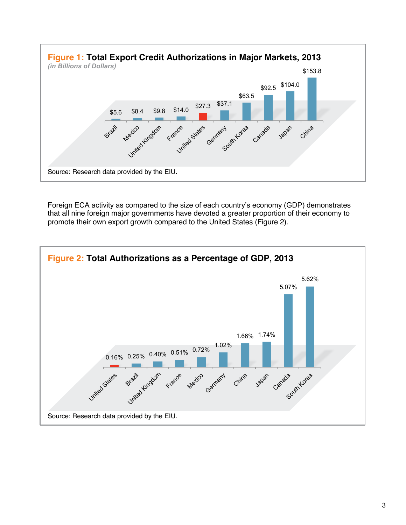

Foreign ECA activity as compared to the size of each country's economy (GDP) demonstrates that all nine foreign major governments have devoted a greater proportion of their economy to promote their own export growth compared to the United States (Figure 2).

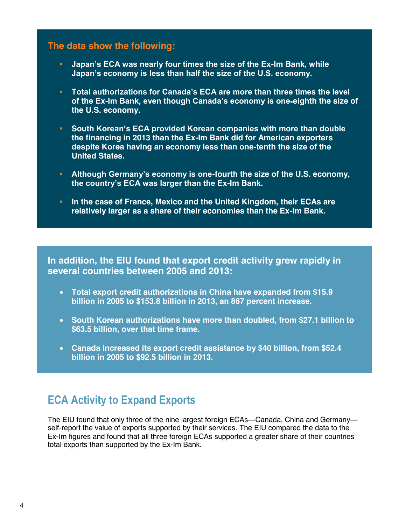#### **The data show the following:**

- **• Japan's ECA was nearly four times the size of the Ex-Im Bank, while Japan's economy is less than half the size of the U.S. economy.**
- **• Total authorizations for Canada's ECA are more than three times the level of the Ex-Im Bank, even though Canada's economy is one**‐**eighth the size of the U.S. economy.**
- **• South Korean's ECA provided Korean companies with more than double the financing in 2013 than the Ex-Im Bank did for American exporters despite Korea having an economy less than one-tenth the size of the United States.**
- **• Although Germany's economy is one-fourth the size of the U.S. economy, the country's ECA was larger than the Ex-Im Bank.**
- **• In the case of France, Mexico and the United Kingdom, their ECAs are relatively larger as a share of their economies than the Ex-Im Bank.**

**In addition, the EIU found that export credit activity grew rapidly in several countries between 2005 and 2013:**

- **Total export credit authorizations in China have expanded from \$15.9 billion in 2005 to \$153.8 billion in 2013, an 867 percent increase.**
- **South Korean authorizations have more than doubled, from \$27.1 billion to \$63.5 billion, over that time frame.**
- **Canada increased its export credit assistance by \$40 billion, from \$52.4 billion in 2005 to \$92.5 billion in 2013.**

## **ECA Activity to Expand Exports**

The EIU found that only three of the nine largest foreign ECAs—Canada, China and Germany self-report the value of exports supported by their services. The EIU compared the data to the Ex-Im figures and found that all three foreign ECAs supported a greater share of their countries' total exports than supported by the Ex-Im Bank.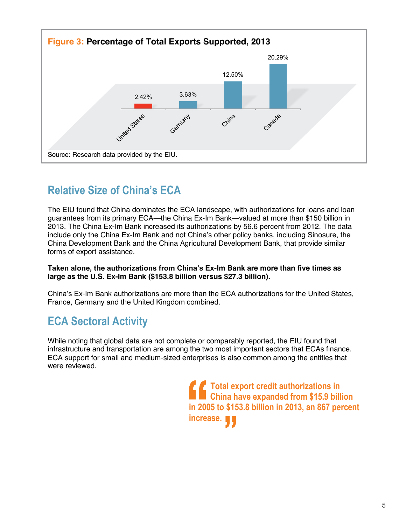

## **Relative Size of China's ECA**

The EIU found that China dominates the ECA landscape, with authorizations for loans and loan guarantees from its primary ECA—the China Ex-Im Bank—valued at more than \$150 billion in 2013. The China Ex-Im Bank increased its authorizations by 56.6 percent from 2012. The data include only the China Ex-Im Bank and not China's other policy banks, including Sinosure, the China Development Bank and the China Agricultural Development Bank, that provide similar forms of export assistance.

#### **Taken alone, the authorizations from China's Ex-Im Bank are more than five times as large as the U.S. Ex-Im Bank (\$153.8 billion versus \$27.3 billion).**

China's Ex-Im Bank authorizations are more than the ECA authorizations for the United States, France, Germany and the United Kingdom combined.

## **ECA Sectoral Activity**

While noting that global data are not complete or comparably reported, the EIU found that infrastructure and transportation are among the two most important sectors that ECAs finance. ECA support for small and medium-sized enterprises is also common among the entities that were reviewed.

> *f f* **Total export credit authorizations in EXECUTE: China have expanded from \$15.9 billion in 2005 to \$153.8 billion in 2013, an 867 percent increase.**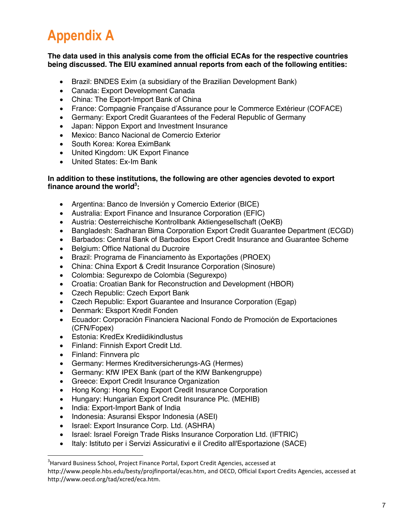## **Appendix A**

#### **The data used in this analysis come from the official ECAs for the respective countries being discussed. The EIU examined annual reports from each of the following entities:**

- Brazil: BNDES Exim (a subsidiary of the Brazilian Development Bank)
- Canada: Export Development Canada
- China: The Export-Import Bank of China
- France: Compagnie Française d'Assurance pour le Commerce Extérieur (COFACE)
- Germany: Export Credit Guarantees of the Federal Republic of Germany
- Japan: Nippon Export and Investment Insurance
- Mexico: Banco Nacional de Comercio Exterior
- South Korea: Korea EximBank
- United Kingdom: UK Export Finance
- United States: Ex-Im Bank

#### **In addition to these institutions, the following are other agencies devoted to export finance around the world<sup>3</sup> :**

- Argentina: Banco de Inversión y Comercio Exterior (BICE)
- Australia: Export Finance and Insurance Corporation (EFIC)
- Austria: Oesterreichische Kontrollbank Aktiengesellschaft (OeKB)
- Bangladesh: Sadharan Bima Corporation Export Credit Guarantee Department (ECGD)
- Barbados: Central Bank of Barbados Export Credit Insurance and Guarantee Scheme
- Belgium: Office National du Ducroire
- Brazil: Programa de Financiamento às Exportações (PROEX)
- China: China Export & Credit Insurance Corporation (Sinosure)
- Colombia: Segurexpo de Colombia (Segurexpo)
- Croatia: Croatian Bank for Reconstruction and Development (HBOR)
- Czech Republic: Czech Export Bank
- Czech Republic: Export Guarantee and Insurance Corporation (Egap)
- Denmark: Eksport Kredit Fonden
- Ecuador: Corporación Financiera Nacional Fondo de Promoción de Exportaciones (CFN/Fopex)
- Estonia: KredEx Krediidikindlustus
- Finland: Finnish Export Credit Ltd.
- Finland: Finnvera plc

 $\overline{a}$ 

- Germany: Hermes Kreditversicherungs-AG (Hermes)
- Germany: KfW IPEX Bank (part of the KfW Bankengruppe)
- Greece: Export Credit Insurance Organization
- Hong Kong: Hong Kong Export Credit Insurance Corporation
- Hungary: Hungarian Export Credit Insurance Plc. (MEHIB)
- India: Export-Import Bank of India
- Indonesia: Asuransi Ekspor Indonesia (ASEI)
- Israel: Export Insurance Corp. Ltd. (ASHRA)
- Israel: Israel Foreign Trade Risks Insurance Corporation Ltd. (IFTRIC)
- Italy: Istituto per i Servizi Assicurativi e il Credito all'Esportazione (SACE)

 $3$ Harvard Business School, Project Finance Portal, Export Credit Agencies, accessed at

http://www.people.hbs.edu/besty/projfinportal/ecas.htm, and OECD, Official Export Credits Agencies, accessed at http://www.oecd.org/tad/xcred/eca.htm.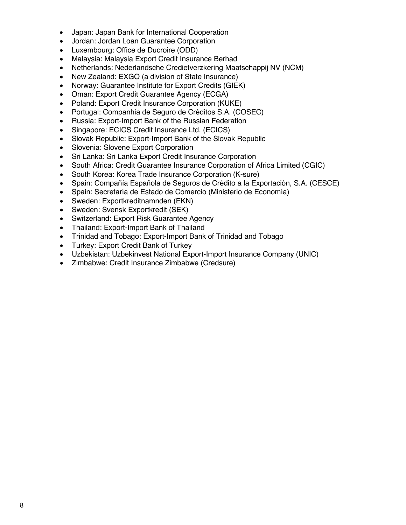- Japan: Japan Bank for International Cooperation
- Jordan: Jordan Loan Guarantee Corporation
- Luxembourg: Office de Ducroire (ODD)
- Malaysia: Malaysia Export Credit Insurance Berhad
- Netherlands: Nederlandsche Credietverzkering Maatschappij NV (NCM)
- New Zealand: EXGO (a division of State Insurance)
- Norway: Guarantee Institute for Export Credits (GIEK)
- Oman: Export Credit Guarantee Agency (ECGA)
- Poland: Export Credit Insurance Corporation (KUKE)
- Portugal: Companhia de Seguro de Créditos S.A. (COSEC)
- Russia: Export-Import Bank of the Russian Federation
- Singapore: ECICS Credit Insurance Ltd. (ECICS)
- Slovak Republic: Export-Import Bank of the Slovak Republic
- Slovenia: Slovene Export Corporation
- Sri Lanka: Sri Lanka Export Credit Insurance Corporation
- South Africa: Credit Guarantee Insurance Corporation of Africa Limited (CGIC)
- South Korea: Korea Trade Insurance Corporation (K-sure)
- Spain: Compañía Española de Seguros de Crédito a la Exportación, S.A. (CESCE)
- Spain: Secretaría de Estado de Comercio (Ministerio de Economía)
- Sweden: Exportkreditnamnden (EKN)
- Sweden: Svensk Exportkredit (SEK)
- Switzerland: Export Risk Guarantee Agency
- Thailand: Export-Import Bank of Thailand
- Trinidad and Tobago: Export-Import Bank of Trinidad and Tobago
- Turkey: Export Credit Bank of Turkey
- Uzbekistan: Uzbekinvest National Export-Import Insurance Company (UNIC)
- Zimbabwe: Credit Insurance Zimbabwe (Credsure)